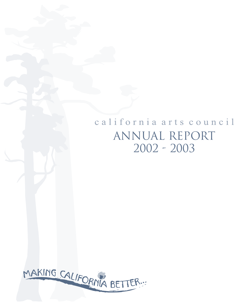## california arts council ANNUAL REPORT 2002 - 2003

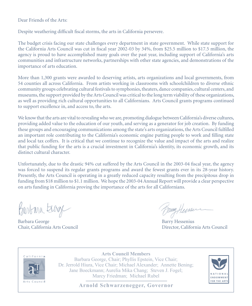Dear Friends of the Arts:

Despite weathering difficult fiscal storms, the arts in California persevere.

The budget crisis facing our state challenges every department in state government. While state support for the California Arts Council was cut in fiscal year 2002-03 by 34%, from \$25.5 million to \$17.5 million, the agency is proud to have accomplished many goals over the past year, including support of California's arts communities and infrastructure networks, partnerships with other state agencies, and demonstrations of the importance of arts education.

More than 1,300 grants were awarded to deserving artists, arts organizations and local governments, from 54 counties all across California. From artists working in classrooms with schoolchildren to diverse ethnic community groups celebrating cultural festivals to symphonies, theaters, dance companies, cultural centers, and museums, the support provided by the Arts Council was critical to the long term viability of these organizations, as well as providing rich cultural opportunities to all Californians. Arts Council grants programs continued to support excellence in, and access to, the arts.

We know that the arts are vital to revealing who we are, promoting dialogue between California's diverse cultures, providing added value to the education of our youth, and serving as a generator for job creation. By funding these groups and encouraging communications among the state's arts organizations, the Arts Council fulfilled an important role contributing to the California's economic engine putting people to work and filling state and local tax coffers. It is critical that we continue to recognize the value and impact of the arts and realize that public funding for the arts is a crucial investment in California's identity, its economic growth, and its distinct cultural character.

Unfortunately, due to the drastic 94% cut suffered by the Arts Council in the 2003-04 fiscal year, the agency was forced to suspend its regular grants programs and award the fewest grants ever in its 28-year history. Presently, the Arts Council is operating in a greatly reduced capacity resulting from the precipitous drop in funding from \$18 million to \$1.1 million. We hope the 2003-04 Annual Report will provide a clear perspective on arts funding in California proving the importance of the arts for all Californians.

Barbara George

Barbara George Barbara Barry Hessenius

BangHenser

Chair, California Arts Council Director, California Arts Council



**Arts Council Members** Barbara George, Chair; Phyllis Epstein, Vice Chair; Dr. Jerrold Hiura, Vice Chair; Michael Alexander; Annette Bening; Jane Boeckmann; Aurelia Mika Chang; Steven J. Fogel; Marcy Friedman; Michael Rubel



**Arnold Schwarzenegger, Governor**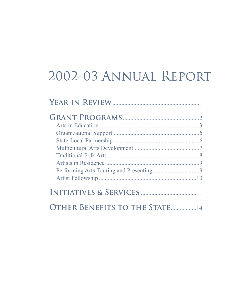## 2002-03 ANNUAL REPORT

| <b>OTHER BENEFITS TO THE STATE [14]</b> |  |
|-----------------------------------------|--|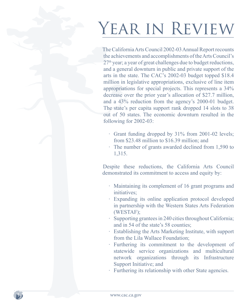# YEAR IN REVIEW

The California Arts Council 2002-03 Annual Report recounts the achievements and accomplishments of the Arts Council's 27<sup>th</sup> year; a year of great challenges due to budget reductions, and a general downturn in public and private support of the arts in the state. The CAC's 2002-03 budget topped \$18.4 million in legislative appropriations, exclusive of line item appropriations for special projects. This represents a 34% decrease over the prior year's allocation of \$27.7 million, and a 43% reduction from the agency's 2000-01 budget. The state's per capita support rank dropped 14 slots to 38 out of 50 states. The economic downturn resulted in the following for 2002-03:

- · Grant funding dropped by 31% from 2001-02 levels; from \$23.48 million to \$16.39 million; and
- · The number of grants awarded declined from 1,590 to 1,315.

Despite these reductions, the California Arts Council demonstrated its commitment to access and equity by:

- · Maintaining its complement of 16 grant programs and initiatives;
- · Expanding its online application protocol developed in partnership with the Western States Arts Federation (WESTAF);
- · Supporting grantees in 240 cities throughout California; and in 54 of the state's 58 counties;
- · Establishing the Arts Marketing Institute, with support from the Lila Wallace Foundation;
- Furthering its commitment to the development of statewide service organizations and multicultural network organizations through its Infrastructure Support Initiative; and
- · Furthering its relationship with other State agencies.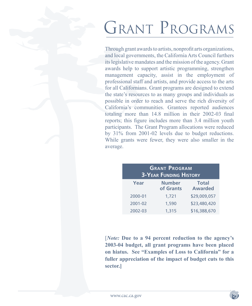# GRANT PROGRAMS

Through grant awards to artists, nonprofit arts organizations, and local governments, the California Arts Council furthers its legislative mandates and the mission of the agency. Grant awards help to support artistic programming, strengthen management capacity, assist in the employment of professional staff and artists, and provide access to the arts for all Californians. Grant programs are designed to extend the state's resources to as many groups and individuals as possible in order to reach and serve the rich diversity of California's communities. Grantees reported audiences totaling more than 14.8 million in their 2002-03 final reports; this figure includes more than 3.4 million youth participants. The Grant Program allocations were reduced by 31% from 2001-02 levels due to budget reductions. While grants were fewer, they were also smaller in the average.

| <b>GRANT PROGRAM</b><br><b>3-YEAR FUNDING HISTORY</b> |                            |                                |  |
|-------------------------------------------------------|----------------------------|--------------------------------|--|
| Year                                                  | <b>Number</b><br>of Grants | <b>Total</b><br><b>Awarded</b> |  |
| 2000-01                                               | 1,721                      | \$29,009,057                   |  |
| 2001-02                                               | 1,590                      | \$23,480,420                   |  |
| 2002-03                                               | 1,315                      | \$16,388,670                   |  |

[*Note:* **Due to a 94 percent reduction to the agency's 2003-04 budget, all grant programs have been placed on hiatus. See "Examples of Loss to California" for a fuller appreciation of the impact of budget cuts to this sector.]**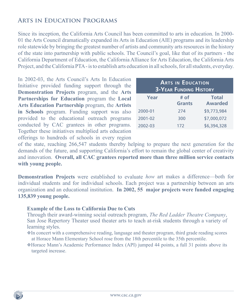## **Arts in Education Programs**

Since its inception, the California Arts Council has been committed to arts in education. In 2000- 01 the Arts Council dramatically expanded its Arts in Education (AIE) programs and its leadership role statewide by bringing the greatest number of artists and community arts resources in the history of the state into partnership with public schools. The Council's goal, like that of its partners - the California Department of Education, the California Alliance for Arts Education, the California Arts Project, and the California PTA - is to establish arts education in all schools, for all students, everyday.

In 2002-03, the Arts Council's Arts In Education Initiative provided funding support through the **Demonstration Projects** program, and the **Arts Partnerships for Education** program the **Local Arts Education Partnership** program, the **Artists in Schools** program. Funding support was also provided to the educational outreach programs conducted by CAC grantees in other programs. Together these initiatives multiplied arts education offerings to hundreds of schools in every region

| <b>ARTS IN EDUCATION</b><br><b>3-YEAR FUNDING HISTORY</b> |                       |                                |  |
|-----------------------------------------------------------|-----------------------|--------------------------------|--|
| Year                                                      | # of<br><b>Grants</b> | <b>Total</b><br><b>Awarded</b> |  |
| 2000-01                                                   | 274                   | \$9,773,984                    |  |
| 2001-02                                                   | 300                   | \$7,000,072                    |  |
| 2002-03                                                   | 172                   | \$6,394,328                    |  |

of the state, reaching 266,547 students thereby helping to prepare the next generation for the demands of the future, and supporting California's effort to remain the global center of creativity and innovation. **Overall, all CAC grantees reported more than three million service contacts with young people.**

**Demonstration Projects** were established to evaluate *how* art makes a difference—both for individual students and for individual schools. Each project was a partnership between an arts organization and an educational institution. **In 2002, 55 major projects were funded engaging 135,839 young people.**

#### **Example of the Loss to California Due to Cuts**

Through their award-winning social outreach program, *The Red Ladder Theatre Company*, San Jose Repertory Theater used theater arts to teach at-risk students through a variety of learning styles.

In concert with a comprehensive reading, language and theater program, third grade reading scores at Horace Mann Elementary School rose from the 18th percentile to the 35th percentile.

Horace Mann's Academic Performance Index (API) jumped 44 points, a full 31 points above its targeted increase.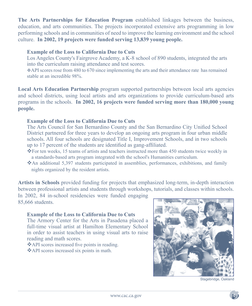**The Arts Partnerships for Education Program** established linkages between the business, education, and arts communities. The projects incorporated extensive arts programming in low performing schools and in communities of need to improve the learning environment and the school culture. **In 2002, 19 projects were funded serving 13,839 young people.**

#### **Example of the Loss to California Due to Cuts**

Los Angeles County's Fairgrove Academy, a K-8 school of 890 students, integrated the arts into the curriculum raising attendance and test scores.

API scores rose from 480 to 670 since implementing the arts and their attendance rate has remained stable at an incredible 98%.

**Local Arts Education Partnership** program supported partnerships between local arts agencies and school districts, using local artists and arts organizations to provide curriculum-based arts programs in the schools. **In 2002, 16 projects were funded serving more than 180,000 young people.**

#### **Example of the Loss to California Due to Cuts**

The Arts Council for San Bernardino County and the San Bernardino City Unified School District partnered for three years to develop an ongoing arts program in four urban middle schools. All four schools are designated Title I, Improvement Schools, and in two schools up to 17 percent of the students are identified as gang-affiliated.

- For ten weeks, 15 teams of artists and teachers instructed more than 450 students twice weekly in a standards-based arts program integrated with the school's Humanities curriculum.
- An additional 5,397 students participated in assemblies, performances, exhibitions, and family nights organized by the resident artists.

**Artists in Schools** provided funding for projects that emphasized long-term, in-depth interaction between professional artists and students through workshops, tutorials, and classes within schools.

In 2002, 84 in-school residencies were funded engaging 85,666 students.

## **Example of the Loss to California Due to Cuts**

The Armory Center for the Arts in Pasadena placed a full-time visual artist at Hamilton Elementary School in order to assist teachers in using visual arts to raise reading and math scores.

API scores increased five points in reading.

API scores increased six points in math.



Stagebridge, Oakland

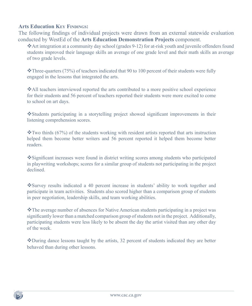#### **Arts Education KEY FINDINGS:**

The following findings of individual projects were drawn from an external statewide evaluation conducted by WestEd of the **Arts Education Demonstration Projects** component.

Art integration at a community day school (grades 9-12) for at-risk youth and juvenile offenders found students improved their language skills an average of one grade level and their math skills an average of two grade levels.

 $\cdot$ Three-quarters (75%) of teachers indicated that 90 to 100 percent of their students were fully engaged in the lessons that integrated the arts.

All teachers interviewed reported the arts contributed to a more positive school experience for their students and 56 percent of teachers reported their students were more excited to come to school on art days.

\*Students participating in a storytelling project showed significant improvements in their listening comprehension scores.

 $\cdot$ Two thirds (67%) of the students working with resident artists reported that arts instruction helped them become better writers and 56 percent reported it helped them become better readers.

Significant increases were found in district writing scores among students who participated in playwriting workshops; scores for a similar group of students not participating in the project declined.

Survey results indicated a 40 percent increase in students' ability to work together and participate in team activities. Students also scored higher than a comparison group of students in peer negotiation, leadership skills, and team working abilities.

The average number of absences for Native American students participating in a project was significantly lower than a matched comparison group of students not in the project. Additionally, participating students were less likely to be absent the day the artist visited than any other day of the week.

During dance lessons taught by the artists, 32 percent of students indicated they are better behaved than during other lessons.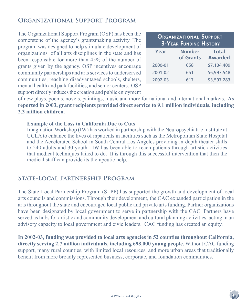## **Organizational Support Program**

The Organizational Support Program (OSP) has been the cornerstone of the agency's grantsmaking activity. The program was designed to help stimulate development of organizations of all arts disciplines in the state and has been responsible for more than 45% of the number of grants given by the agency. OSP incentives encourage community partnerships and arts services to underserved communities, reaching disadvantaged schools, shelters, mental health and park facilities, and senior centers. OSP support directly induces the creation and public enjoyment

| <b>ORGANIZATIONAL SUPPORT</b><br><b>3-YEAR FUNDING HISTORY</b> |                            |                                |  |
|----------------------------------------------------------------|----------------------------|--------------------------------|--|
| Year                                                           | <b>Number</b><br>of Grants | <b>Total</b><br><b>Awarded</b> |  |
| 2000-01                                                        | 658                        | \$7,104,409                    |  |
| 2001-02                                                        | 651                        | \$6,997,548                    |  |
| 2002-03                                                        | 617                        | \$3,597,283                    |  |

of new plays, poems, novels, paintings, music and more for national and international markets. **As reported in 2003, grant recipients provided direct service to 9.1 million individuals, including 2.3 million children.**

#### **Example of the Loss to California Due to Cuts**

Imagination Workshop (IW) has worked in partnership with the Neuropsychiatric Institute at UCLA to enhance the lives of inpatients in facilities such as the Metropolitan State Hospital and the Accelerated School in South Central Los Angeles providing in-depth theater skills to 240 adults and 30 youth. IW has been able to reach patients through artistic activities that medical techniques failed to do. It is through this successful intervention that then the medical staff can provide its therapeutic help.

## **State-Local Partnership Program**

The State-Local Partnership Program (SLPP) has supported the growth and development of local arts councils and commissions. Through their development, the CAC expanded participation in the arts throughout the state and encouraged local public and private arts funding. Partner organizations have been designated by local government to serve in partnership with the CAC. Partners have served as hubs for artistic and community development and cultural planning activities, acting in an advisory capacity to local government and civic leaders. CAC funding has created an equity.

**In 2002-03, funding was provided to local arts agencies in 52 counties throughout California, directly serving 2.7 million individuals, including 698,000 young people.** Without CAC funding support, many rural counties, with limited local resources, and more urban areas that traditionally benefit from more broadly represented business, corporate, and foundation communities.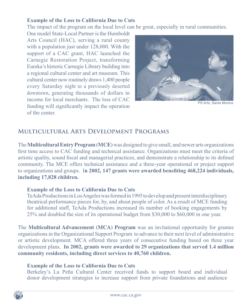#### **Example of the Loss to California Due to Cuts**

The impact of the program on the local level can be great, especially in rural communities.

One model State-Local Partner is the Humboldt Arts Council (HAC), serving a rural county with a population just under 128,000. With the support of a CAC grant, HAC launched the Carnegie Restoration Project, transforming Eureka's historic Carnegie Library building into a regional cultural center and art museum. This cultural center now routinely draws 1,400 people every Saturday night to a previously deserted downtown, generating thousands of dollars in income for local merchants. The loss of CAC funding will significantly impact the operation of the center.



PS Arts, Santa Monica

## **Multicultural Arts Development Programs**

The **Multicultural Entry Program (MCE)** was designed to give small, and newer arts organizations first time access to CAC funding and technical assistance. Organizations must meet the criteria of artistic quality, sound fiscal and managerial practices, and demonstrate a relationship to its defined community. The MCE offers technical assistance and a three-year operational or project support to organizations and groups. I**n 2002, 147 grants were awarded benefiting 468,224 individuals, including 17,828 children.**

#### **Example of the Loss to California Due to Cuts**

TeAda Productions in Los Angeles was formed in 1995 to develop and present interdisciplinary theatrical performance pieces for, by, and about people of color. As a result of MCE funding for additional staff, TeAda Productions increased its number of booking engagements by 25% and doubled the size of its operational budget from \$30,000 to \$60,000 in one year.

The **Multicultural Advancement (MCA) Program** was an invitational opportunity for grantee organizations in the Organizational Support Program to advance to their next level of administrative or artistic development. MCA offered three years of consecutive funding based on three year development plans. **In 2002, grants were awarded to 29 organizations that served 1.4 million community residents, including direct services to 40,760 children.**

#### **Example of the Loss to California Due to Cuts**

Berkeley's La Peña Cultural Center received funds to support board and individual donor development strategies to increase support from private foundations and audience

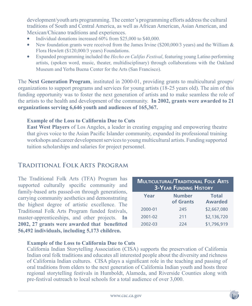development/youth arts programming. The center's programming efforts address the cultural traditions of South and Central America, as well as African American, Asian American, and Mexican/Chicano traditions and experiences.

- Individual donations increased 60% from \$25,000 to \$40,000.
- New foundation grants were received from the James Irvine (\$200,000/3 years) and the William  $\&$ Flora Hewlett (\$120,000/3 years) Foundations.
- Expanded programming included the *Hecho en Califas Festival*, featuring young Latino performing artists, (spoken word, music, theater, multidisciplinary) through collaborations with the Oakland Museum and Yerba Buena Center for the Arts (San Francisco).

The **Next Generation Program**, instituted in 2000-01, providing grants to multicultural groups/ organizations to support programs and services for young artists (18-25 years old). The aim of this funding opportunity was to foster the next generation of artists and to make seamless the role of the artists to the health and development of the community. **In 2002, grants were awarded to 21 organizations serving 6,646 youth and audiences of 165,367.**

#### **Example of the Loss to California Due to Cuts**

**East West Players** of Los Angeles, a leader in creating engaging and empowering theatre that gives voice to the Asian Pacific Islander community, expanded its professional training workshops and career development services to young multicultural artists. Funding supported tuition scholarships and salaries for project personnel.

## **Traditional Folk Arts Program**

The Traditional Folk Arts (TFA) Program has supported culturally specific community and family-based arts passed-on through generations, carrying community aesthetics and demonstrating the highest degree of artistic excellence. The Traditional Folk Arts Program funded festivals, master-apprenticeships, and other projects. **In 2002, 27 grants were awarded that benefitted 56,492 individuals, including 5,173 children.**

| <b>MULTICULTURAL/TRADITIONAL FOLK ARTS</b><br><b>3-YEAR FUNDING HISTORY</b> |                            |                                |  |
|-----------------------------------------------------------------------------|----------------------------|--------------------------------|--|
| Year                                                                        | <b>Number</b><br>of Grants | <b>Total</b><br><b>Awarded</b> |  |
| 2000-01                                                                     | 245                        | \$2,667,080                    |  |
| 2001-02                                                                     | 211                        | \$2,136,720                    |  |
| 2002-03                                                                     | 224                        | \$1,796,919                    |  |

### **Example of the Loss to California Due to Cuts**

California Indian Storytelling Association (CISA) supports the preservation of California Indian oral folk traditions and educates all interested people about the diversity and richness of California Indian cultures. CISA plays a significant role in the teaching and passing of oral traditions from elders to the next generation of California Indian youth and hosts three regional storytelling festivals in Humboldt, Alameda, and Riverside Counties along with pre-festival outreach to local schools for a total audience of over 3,000.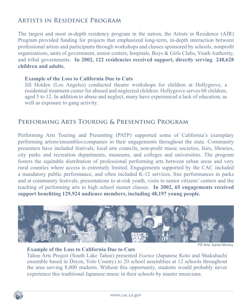## **Artists in Residence Program**

The largest and most in-depth residency program in the nation, the Artists in Residence (AIR) Program provided funding for projects that emphasized long-term, in-depth interaction between professional artists and participants through workshops and classes sponsored by schools, nonprofit organizations, units of government, senior centers, hospitals, Boys & Girls Clubs, Youth Authority, and tribal governments. **In 2002, 122 residencies received support, directly serving 248,628 children and adults.** 

#### **Example of the Loss to California Due to Cuts**

Jill Holden (Los Angeles) conducted theatre workshops for children at Hollygrove, a residential treatment center for abused and neglected children. Hollygrove serves 68 children, aged 5 to 12. In addition to abuse and neglect, many have experienced a lack of education, as well as exposure to gang activity.

## **Performing Arts Touring & Presenting Program**

Performing Arts Touring and Presenting (PATP) supported some of California's exemplary performing artists/ensembles/companies in their engagements throughout the state. Community presenters have included festivals, local arts councils, non-profit music societies, fairs, libraries, city parks and recreation departments, museums, and colleges and universities. The program fosters the equitable distribution of professional performing arts between urban areas and very rural counties where access is extremely limited. Engagements supported by the CAC included a mandatory public performance, and often included K-12 services, free performances in parks and at community festivals, presentations to at-risk youth, visits to senior citizens' centers and the teaching of performing arts to high school master classes. **In 2002, 65 engagements received support benefiting 129,924 audience members, including 48,197 young people.**



#### **Example of the Loss to California Due to Cuts**

PS Arts, Santa Monica

Tahoe Arts Project (South Lake Tahoe) presented *Essence* (Japanese Koto and Shakuhachi ensemble based in Dixon, Yolo County) to 20 school assemblies at 12 schools throughout the area serving 8,000 students. Without this opportunity, students would probably never experience this traditional Japanese music in their schools by master musicians.

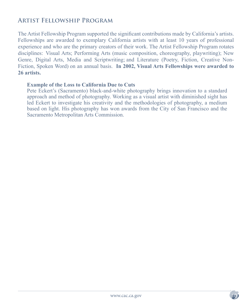## **ARTIST FELLOWSHIP PROGRAM**

The Artist Fellowship Program supported the significant contributions made by California's artists. Fellowships are awarded to exemplary California artists with at least 10 years of professional experience and who are the primary creators of their work. The Artist Fellowship Program rotates disciplines: Visual Arts; Performing Arts (music composition, choreography, playwriting); New Genre, Digital Arts, Media and Scriptwriting; and Literature (Poetry, Fiction, Creative Non-Fiction, Spoken Word) on an annual basis. **In 2002, Visual Arts Fellowships were awarded to 26 artists.** 

#### **Example of the Loss to California Due to Cuts**

Pete Eckert's (Sacramento) black-and-white photography brings innovation to a standard approach and method of photography. Working as a visual artist with diminished sight has led Eckert to investigate his creativity and the methodologies of photography, a medium based on light. His photography has won awards from the City of San Francisco and the Sacramento Metropolitan Arts Commission.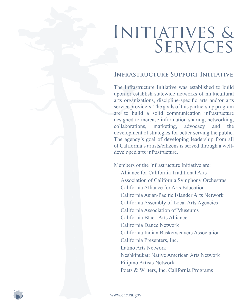# INITIATIVES & SERVICES

## **INFRASTRUCTURE SUPPORT INITIATIVE**

The Infrastructure Initiative was established to build upon or establish statewide networks of multicultural arts organizations, discipline-specific arts and/or arts service providers. The goals of this partnership program are to build a solid communication infrastructure designed to increase information sharing, networking, collaborations, marketing, advocacy and the development of strategies for better serving the public. The agency's goal of developing leadership from all of California's artists/citizens is served through a welldeveloped arts infrastructure.

Members of the Infrastructure Initiative are: Alliance for California Traditional Arts Association of California Symphony Orchestras California Alliance for Arts Education California Asian/Pacific Islander Arts Network California Assembly of Local Arts Agencies California Association of Museums California Black Arts Alliance California Dance Network California Indian Basketweavers Association California Presenters, Inc. Latino Arts Network Neshkinukat: Native American Arts Network Pilipino Artists Network Poets & Writers, Inc. California Programs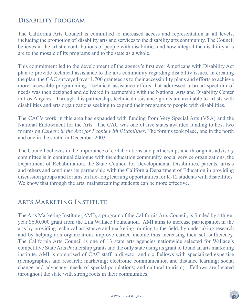## **Disability Program**

The California Arts Council is committed to increased access and representation at all levels, including the promotion of disability arts and services to the disability arts community. The Council believes in the artistic contributions of people with disabilities and how integral the disability arts are to the mosaic of its programs and to the state as a whole.

This commitment led to the development of the agency's first ever Americans with Disability Act plan to provide technical assistance to the arts community regarding disability issues. In creating the plan, the CAC surveyed over 1,700 grantees as to their accessibility plans and efforts to achieve more accessible programming. Technical assistance efforts that addressed a broad spectrum of needs was then designed and delivered in partnership with the National Arts and Disability Center in Los Angeles. Through this partnership, technical assistance grants are available to artists with disabilities and arts organizations seeking to expand their programs to people with disabilities.

The CAC's work in this area has expanded with funding from Very Special Arts (VSA) and the National Endowment for the Arts. The CAC was one of five states awarded funding to host two forums on *Careers in the Arts for People with Disabilities*. The forums took place, one in the north and one in the south, in December 2003.

The Council believes in the importance of collaborations and partnerships and through its advisory committee is in continual dialogue with the education community, social service organizations, the Department of Rehabilitation, the State Council for Developmental Disabilities, parents, artists and others and continues its partnership with the California Department of Education in providing discussion groups and forums on life-long learning opportunities for K-12 students with disabilities. We know that through the arts, mainstreaming students can be more effective.

## **Arts Marketing Institute**

The Arts Marketing Institute (AMI), a program of the California Arts Council, is funded by a threeyear \$600,000 grant from the Lila Wallace Foundation. AMI aims to increase participation in the arts by providing technical assistance and marketing training to the field, by undertaking research and by helping arts organizations improve earned income thus increasing their self-sufficiency. The California Arts Council is one of 13 state arts agencies nationwide selected for Wallace's competitive State Arts Partnership grants and the only state using its grant to found an arts marketing institute. AMI is comprised of CAC staff, a director and six Fellows with specialized expertise (demographics and research; marketing; electronic communication and distance learning; social change and advocacy; needs of special populations; and cultural tourism). Fellows are located throughout the state with strong roots in their communities.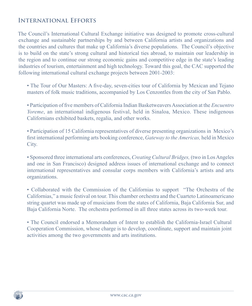## **International Efforts**

The Council's International Cultural Exchange initiative was designed to promote cross-cultural exchange and sustainable partnerships by and between California artists and organizations and the countries and cultures that make up California's diverse populations. The Council's objective is to build on the state's strong cultural and historical ties abroad, to maintain our leadership in the region and to continue our strong economic gains and competitive edge in the state's leading industries of tourism, entertainment and high technology. Toward this goal, the CAC supported the following international cultural exchange projects between 2001-2003:

- The Tour of Our Masters: A five-day, seven-cities tour of California by Mexican and Tejano masters of folk music traditions, accompanied by Los Cenzontles from the city of San Pablo.
- Participation of five members of California Indian Basketweavers Association at the *Encuentro Yoreme*, an international indigenous festival, held in Sinaloa, Mexico. These indigenous Californians exhibited baskets, regalia, and other works.
- Participation of 15 California representatives of diverse presenting organizations in Mexico's first international performing arts booking conference, *Gateway to the Americas,* held in Mexico City.
- Sponsored three international arts conferences, *Creating Cultural Bridges,* (two in Los Angeles and one in San Francisco) designed address issues of international exchange and to connect international representatives and consular corps members with California's artists and arts organizations.
- Collaborated with the Commission of the Californias to support "The Orchestra of the Californias," a music festival on tour. This chamber orchestra and the Cuarteto Latinoamericano string quartet was made up of musicians from the states of California, Baja California Sur, and Baja California Norte. The orchestra performed in all three states across its two-week tour.
- The Council endorsed a Memorandum of Intent to establish the California-Israel Cultural Cooperation Commission, whose charge is to develop, coordinate, support and maintain joint activities among the two governments and arts institutions.

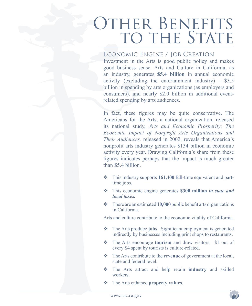# OTHER BENEFITS TO THE STATE

### Economic Engine / Job Creation

Investment in the Arts is good public policy and makes good business sense. Arts and Culture in California, as an industry, generates **\$5.4 billion** in annual economic activity (excluding the entertainment industry) - \$3.5 billion in spending by arts organizations (as employers and consumers), and nearly \$2.0 billion in additional eventrelated spending by arts audiences.

In fact, these figures may be quite conservative. The Americans for the Arts, a national organization, released its national study, *Arts and Economic Prosperity: The Economic Impact of Nonprofit Arts Organizations and Their Audiences,* released in 2002, reveals that America's nonprofit arts industry generates \$134 billion in economic activity every year. Drawing California's share from these figures indicates perhaps that the impact is much greater than \$5.4 billion.

- This industry supports **161,400** full-time equivalent and parttime jobs.
- This economic engine generates **\$300 million** *in state and local taxes.*
- There are an estimated **10,000** public benefit arts organizations in California.

Arts and culture contribute to the economic vitality of California.

- The Arts produce **jobs**. Significant employment is generated indirectly by businesses including print shops to restaurants.
- The Arts encourage **tourism** and draw visitors. \$1 out of every \$4 spent by tourists is culture-related.
- The Arts contribute to the **revenue** of government at the local, state and federal level.
- The Arts attract and help retain **industry** and skilled workers.
- The Arts enhance **property values**.

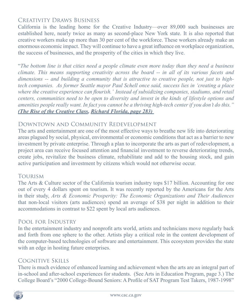## Creativity Draws Business

California is the leading home for the Creative Industry—over 89,000 such businesses are established here, nearly twice as many as second-place New York state. It is also reported that creative workers make up more than 30 per cent of the workforce. These workers already make an enormous economic impact. They will continue to have a great influence on workplace organization, the success of businesses, and the prosperity of the cities in which they live.

"*The bottom line is that cities need a people climate even more today than they need a business climate. This means supporting creativity across the board -- in all of its various facets and dimensions -- and building a community that is attractive to creative people, not just to hightech companies. As former Seattle mayor Paul Schell once said, success lies in 'creating a place where the creative experience can flourish.' Instead of subsidizing companies, stadiums, and retail centers, communities need to be open to diversity and invest in the kinds of lifestyle options and amenities people really want. In fact you cannot be a thriving high-tech center if you don't do this." (The Rise of the Creative Class, Richard Florida, page 283)* 

### Downtown and Community Redevelopment

The arts and entertainment are one of the most effective ways to breathe new life into deteriorating areas plagued by social, physical, environmental or economic conditions that act as a barrier to new investment by private enterprise. Through a plan to incorporate the arts as part of redevelopment, a project area can receive focused attention and financial investment to reverse deteriorating trends, create jobs, revitalize the business climate, rehabilitate and add to the housing stock, and gain active participation and investment by citizens which would not otherwise occur.

### **TOURISM**

The Arts & Culture sector of the California tourism industry tops \$17 billion. Accounting for one out of every 4 dollars spent on tourism. It was recently reported by the Americans for the Arts in their study, *Arts & Economic Prosperity: The Economic Organizations and Their Audiences*  that non-local visitors (arts audiences) spend an average of \$38 per night in addition to their accommodations in contrast to \$22 spent by local arts audiences.

#### Pool for Industry

In the entertainment industry and nonprofit arts world, artists and technicians move regularly back and forth from one sphere to the other. Artists play a critical role in the content development of the computer-based technologies of software and entertainment. This ecosystem provides the state with an edge in hosting future enterprises.

## Cognitive Skills

There is much evidence of enhanced learning and achievement when the arts are an integral part of in-school and after-school experiences for students. (See Arts in Education Program, page 3.) The College Board's "2000 College-Bound Seniors: A Profile of SAT Program Test Takers, 1987-1998"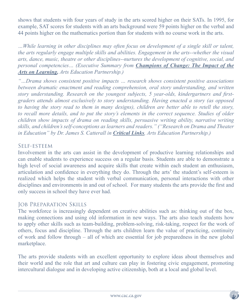shows that students with four years of study in the arts scored higher on their SATs. In 1995, for example, SAT scores for students with an arts background were 59 points higher on the verbal and 44 points higher on the mathematics portion than for students with no course work in the arts.

*…While learning in other disciplines may often focus on development of a single skill or talent, the arts regularly engage multiple skills and abilities. Engagement in the arts--whether the visual arts, dance, music, theatre or other disciplines--nurtures the development of cognitive, social, and personal competencies… (Executive Summary from Champions of Change: The Impact of the Arts on Learning, Arts Education Partnership.)*

*"…Drama shows consistent positive impacts … research shows consistent positive associations between dramatic enactment and reading comprehension, oral story understanding, and written story understanding. Research on the youngest subjects, 5 year-olds, kindergartners and firstgraders attends almost exclusively to story understanding. Having enacted a story (as opposed to having the story read to them in many designs), children are better able to retell the story, to recall more details, and to put the story's elements in the correct sequence. Studies of older children show impacts of drama on reading skills, persuasive writing ability, narrative writing skills, and children's self-conceptions as learners and readers." ("Research on Drama and Theater in Education" by Dr. James S. Catterall in Critical Links, Arts Education Partnership.)*

#### Self-esteem

Involvement in the arts can assist in the development of productive learning relationships and can enable students to experience success on a regular basis. Students are able to demonstrate a high level of social awareness and acquire skills that create within each student an enthusiasm, articulation and confidence in everything they do. Through the arts' the student's self-esteem is realized which helps the student with verbal communication, personal interactions with other disciplines and environments in and out of school. For many students the arts provide the first and only success in school they have ever had.

### Job Preparation Skills

The workforce is increasingly dependent on creative abilities such as: thinking out of the box, making connections and using old information in new ways. The arts also teach students how to apply other skills such as team-building, problem-solving, risk-taking, respect for the work of others, focus and discipline. Through the arts children learn the value of practicing, continuity of work and follow through – all of which are essential for job preparedness in the new global marketplace.

The arts provide students with an excellent opportunity to explore ideas about themselves and their world and the role that art and culture can play in fostering civic engagement, promoting intercultural dialogue and in developing active citizenship, both at a local and global level.

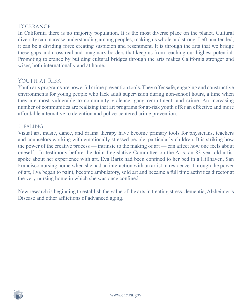### Tolerance

In California there is no majority population. It is the most diverse place on the planet. Cultural diversity can increase understanding among peoples, making us whole and strong. Left unattended, it can be a dividing force creating suspicion and resentment. It is through the arts that we bridge these gaps and cross real and imaginary borders that keep us from reaching our highest potential. Promoting tolerance by building cultural bridges through the arts makes California stronger and wiser, both internationally and at home.

### YOUTH AT RISK

Youth arts programs are powerful crime prevention tools. They offer safe, engaging and constructive environments for young people who lack adult supervision during non-school hours, a time when they are most vulnerable to community violence, gang recruitment, and crime. An increasing number of communities are realizing that art programs for at-risk youth offer an effective and more affordable alternative to detention and police-centered crime prevention.

#### **HEALING**

Visual art, music, dance, and drama therapy have become primary tools for physicians, teachers and counselors working with emotionally stressed people, particularly children. It is striking how the power of the creative process — intrinsic to the making of art — can affect how one feels about oneself. In testimony before the Joint Legislative Committee on the Arts, an 83-year-old artist spoke about her experience with art. Eva Bartz had been confined to her bed in a Hillhaven, San Francisco nursing home when she had an interaction with an artist in residence. Through the power of art, Eva began to paint, become ambulatory, sold art and became a full time activities director at the very nursing home in which she was once confined.

New research is beginning to establish the value of the arts in treating stress, dementia, Alzheimer's Disease and other afflictions of advanced aging.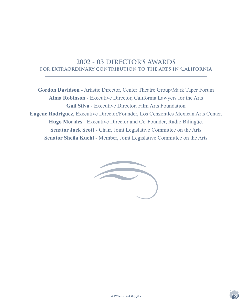## **2002 - 03 DIRECTOR'S AWARDS for extraordinary contribution to the arts in California**

**Gordon Davidson** - Artistic Director, Center Theatre Group/Mark Taper Forum **Alma Robinson** - Executive Director, California Lawyers for the Arts **Gail Silva** - Executive Director, Film Arts Foundation **Eugene Rodríguez**, Executive Director/Founder, Los Cenzontles Mexican Arts Center. **Hugo Morales** - Executive Director and Co-Founder, Radio Bilingüe. **Senator Jack Scott** - Chair, Joint Legislative Committee on the Arts **Senator Sheila Kuehl** - Member, Joint Legislative Committee on the Arts

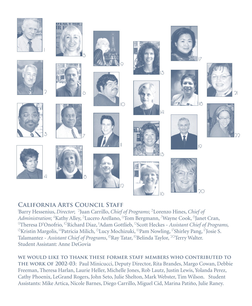













































## **CALIFORNIA ARTS COUNCIL STAFF**

|<br>|<br>| <sup>1</sup>Barry Hessenius, *Director*; <sup>2</sup>Juan Carrillo, *Chief of Programs*; <sup>3</sup>Lorenzo Hines, *Chief of* Administration; <sup>4</sup>Kathy Alley, <sup>5</sup>Lucero Arellano, <sup>6</sup>Tom Bergmann, <sup>7</sup>Wayne Cook, <sup>8</sup>Janet Cran, <sup>9</sup>Theresa D'Onofrio, <sup>10</sup>Richard Diaz, <sup>"</sup>Adam Gottlieb, <sup>12</sup>Scott Heckes - *Assistant Chief of Programs*, <sup>15</sup>Kristin Margolis, <sup>14</sup>Patricia Milich, <sup>15</sup>Lucy Mochizuki, <sup>16</sup>Pam Nowling, <sup>17</sup>Shirley Pang, <sup>17</sup>Josie S. Talamantez - *Assistant Chief of Programs*, <sup>18</sup>Ray Tatar, <sup>19</sup>Belinda Taylor, <sup>20</sup>Terry Walter. Student Assistant: Anne DeGovia

**we would like to thank these former staff members who contributed to the work of 2002-03**: Paul Minicucci, Deputy Director, Rita Brandes, Margo Cowan, Debbie Freeman, Theresa Harlan, Laurie Heller, Michelle Jones, Rob Lautz, Justin Lewis, Yolanda Perez, Cathy Phoenix, LeGrand Rogers, John Seto, Julie Shelton, Mark Webster, Tim Wilson. Student Assistants: Mike Artica, Nicole Barnes, Diego Carrillo, Miguel Cid, Marina Patiño, Julie Raney.